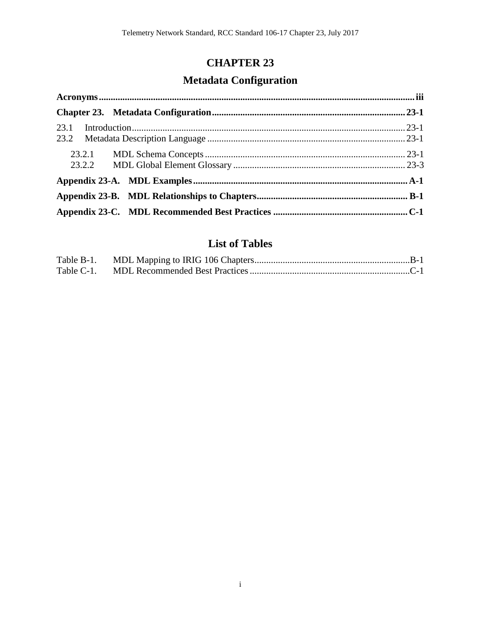# **CHAPTER 23**

# **Metadata Configuration**

## **List of Tables**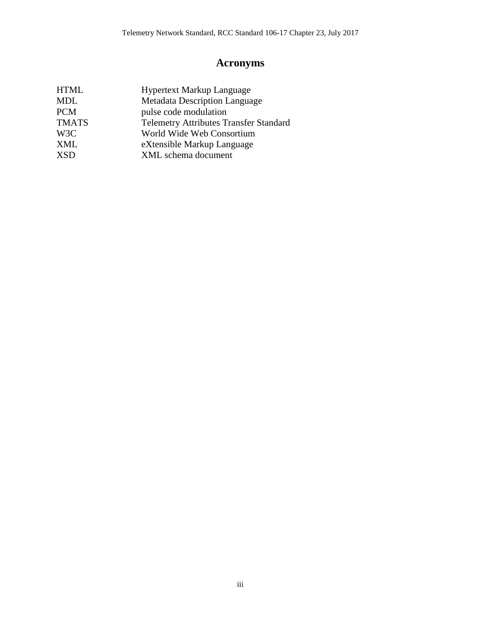# <span id="page-2-0"></span>**Acronyms**

| <b>HTML</b>      | <b>Hypertext Markup Language</b>              |
|------------------|-----------------------------------------------|
| MDL              | <b>Metadata Description Language</b>          |
| <b>PCM</b>       | pulse code modulation                         |
| <b>TMATS</b>     | <b>Telemetry Attributes Transfer Standard</b> |
| W <sub>3</sub> C | World Wide Web Consortium                     |
| XML              | eXtensible Markup Language                    |
| <b>XSD</b>       | XML schema document                           |
|                  |                                               |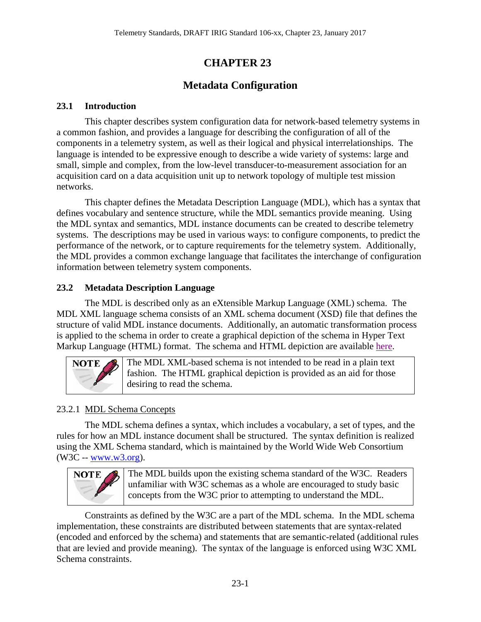# <span id="page-4-0"></span>**CHAPTER 23**

# **Metadata Configuration**

#### <span id="page-4-1"></span>**23.1 Introduction**

This chapter describes system configuration data for network-based telemetry systems in a common fashion, and provides a language for describing the configuration of all of the components in a telemetry system, as well as their logical and physical interrelationships. The language is intended to be expressive enough to describe a wide variety of systems: large and small, simple and complex, from the low-level transducer-to-measurement association for an acquisition card on a data acquisition unit up to network topology of multiple test mission networks.

This chapter defines the Metadata Description Language (MDL), which has a syntax that defines vocabulary and sentence structure, while the MDL semantics provide meaning. Using the MDL syntax and semantics, MDL instance documents can be created to describe telemetry systems. The descriptions may be used in various ways: to configure components, to predict the performance of the network, or to capture requirements for the telemetry system. Additionally, the MDL provides a common exchange language that facilitates the interchange of configuration information between telemetry system components.

#### <span id="page-4-2"></span>**23.2 Metadata Description Language**

The MDL is described only as an eXtensible Markup Language (XML) schema. The MDL XML language schema consists of an XML schema document (XSD) file that defines the structure of valid MDL instance documents. Additionally, an automatic transformation process is applied to the schema in order to create a graphical depiction of the schema in Hyper Text Markup Language (HTML) format. The schema and HTML depiction are available [here.](http://www.wsmr.army.mil/RCCsite/Documents/References/23_schema.zip)



The MDL XML-based schema is not intended to be read in a plain text fashion. The HTML graphical depiction is provided as an aid for those desiring to read the schema.

### <span id="page-4-3"></span>23.2.1 MDL Schema Concepts

The MDL schema defines a syntax, which includes a vocabulary, a set of types, and the rules for how an MDL instance document shall be structured. The syntax definition is realized using the XML Schema standard, which is maintained by the World Wide Web Consortium (W3C -- [www.w3.org\)](http://www.w3.org/).



The MDL builds upon the existing schema standard of the W3C. Readers unfamiliar with W3C schemas as a whole are encouraged to study basic concepts from the W3C prior to attempting to understand the MDL.

Constraints as defined by the W3C are a part of the MDL schema. In the MDL schema implementation, these constraints are distributed between statements that are syntax-related (encoded and enforced by the schema) and statements that are semantic-related (additional rules that are levied and provide meaning). The syntax of the language is enforced using W3C XML Schema constraints.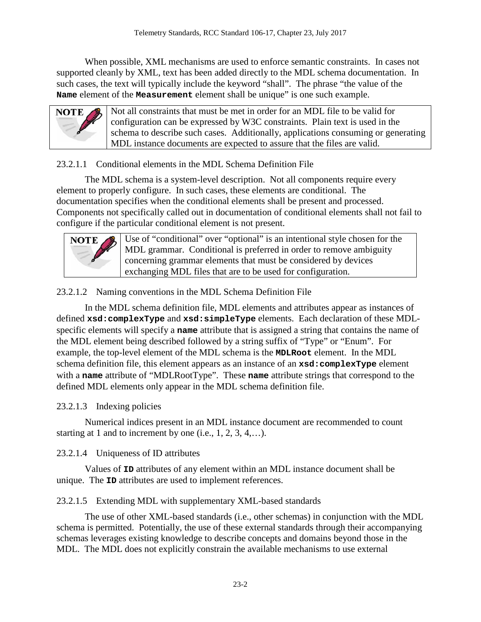When possible, XML mechanisms are used to enforce semantic constraints. In cases not supported cleanly by XML, text has been added directly to the MDL schema documentation. In such cases, the text will typically include the keyword "shall". The phrase "the value of the **Name** element of the **Measurement** element shall be unique" is one such example.



Not all constraints that must be met in order for an MDL file to be valid for configuration can be expressed by W3C constraints. Plain text is used in the schema to describe such cases. Additionally, applications consuming or generating MDL instance documents are expected to assure that the files are valid.

### 23.2.1.1 Conditional elements in the MDL Schema Definition File

The MDL schema is a system-level description. Not all components require every element to properly configure. In such cases, these elements are conditional. The documentation specifies when the conditional elements shall be present and processed. Components not specifically called out in documentation of conditional elements shall not fail to configure if the particular conditional element is not present.



Use of "conditional" over "optional" is an intentional style chosen for the MDL grammar. Conditional is preferred in order to remove ambiguity concerning grammar elements that must be considered by devices exchanging MDL files that are to be used for configuration.

### 23.2.1.2 Naming conventions in the MDL Schema Definition File

In the MDL schema definition file, MDL elements and attributes appear as instances of defined **xsd:complexType** and **xsd:simpleType** elements. Each declaration of these MDLspecific elements will specify a **name** attribute that is assigned a string that contains the name of the MDL element being described followed by a string suffix of "Type" or "Enum". For example, the top-level element of the MDL schema is the **MDLRoot** element. In the MDL schema definition file, this element appears as an instance of an **xsd:complexType** element with a **name** attribute of "MDLRootType". These **name** attribute strings that correspond to the defined MDL elements only appear in the MDL schema definition file.

### 23.2.1.3 Indexing policies

Numerical indices present in an MDL instance document are recommended to count starting at 1 and to increment by one (i.e.,  $1, 2, 3, 4,...$ ).

### 23.2.1.4 Uniqueness of ID attributes

Values of **ID** attributes of any element within an MDL instance document shall be unique. The **ID** attributes are used to implement references.

### 23.2.1.5 Extending MDL with supplementary XML-based standards

The use of other XML-based standards (i.e., other schemas) in conjunction with the MDL schema is permitted. Potentially, the use of these external standards through their accompanying schemas leverages existing knowledge to describe concepts and domains beyond those in the MDL. The MDL does not explicitly constrain the available mechanisms to use external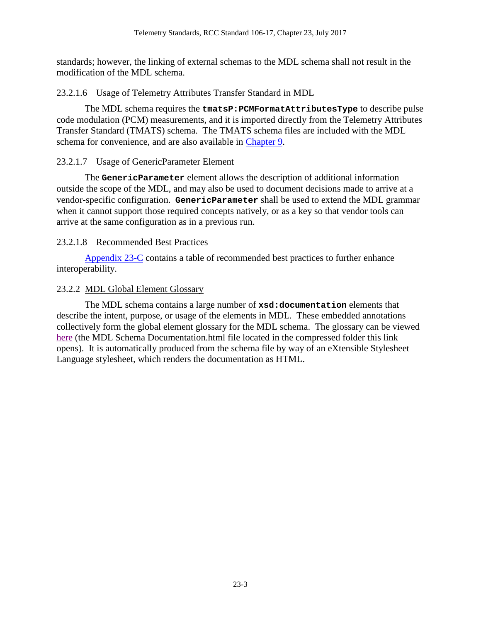standards; however, the linking of external schemas to the MDL schema shall not result in the modification of the MDL schema.

23.2.1.6 Usage of Telemetry Attributes Transfer Standard in MDL

The MDL schema requires the **tmatsP:PCMFormatAttributesType** to describe pulse code modulation (PCM) measurements, and it is imported directly from the Telemetry Attributes Transfer Standard (TMATS) schema. The TMATS schema files are included with the MDL schema for convenience, and are also available in [Chapter 9.](http://www.wsmr.army.mil/RCCsite/Documents/106-17_Telemetry_Standards/Chapter9.pdf)

#### 23.2.1.7 Usage of GenericParameter Element

The **GenericParameter** element allows the description of additional information outside the scope of the MDL, and may also be used to document decisions made to arrive at a vendor-specific configuration. **GenericParameter** shall be used to extend the MDL grammar when it cannot support those required concepts natively, or as a key so that vendor tools can arrive at the same configuration as in a previous run.

#### 23.2.1.8 Recommended Best Practices

[Appendix 23-C](#page-12-2) contains a table of recommended best practices to further enhance interoperability.

#### <span id="page-6-0"></span>23.2.2 MDL Global Element Glossary

The MDL schema contains a large number of **xsd:documentation** elements that describe the intent, purpose, or usage of the elements in MDL. These embedded annotations collectively form the global element glossary for the MDL schema. The glossary can be viewed [here](http://www.wsmr.army.mil/RCCsite/Documents/References/23_schema.zip) (the MDL Schema Documentation.html file located in the compressed folder this link opens). It is automatically produced from the schema file by way of an eXtensible Stylesheet Language stylesheet, which renders the documentation as HTML.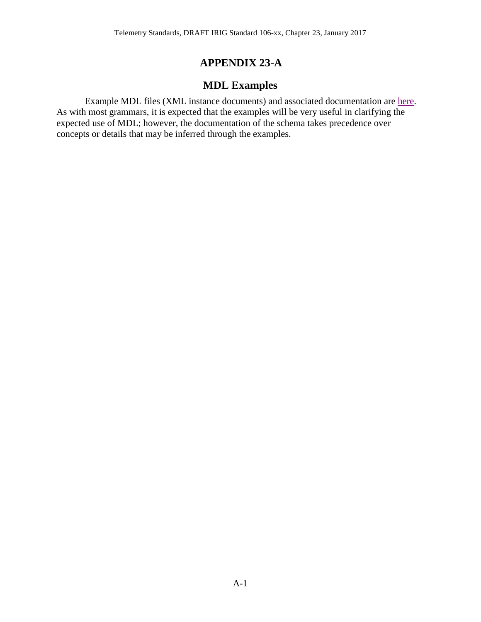### **APPENDIX 23-A**

### <span id="page-8-0"></span>**MDL Examples**

Example MDL files (XML instance documents) and associated documentation are [here.](http://www.wsmr.army.mil/RCCsite/Documents/References/MDL_Examples.zip) As with most grammars, it is expected that the examples will be very useful in clarifying the expected use of MDL; however, the documentation of the schema takes precedence over concepts or details that may be inferred through the examples.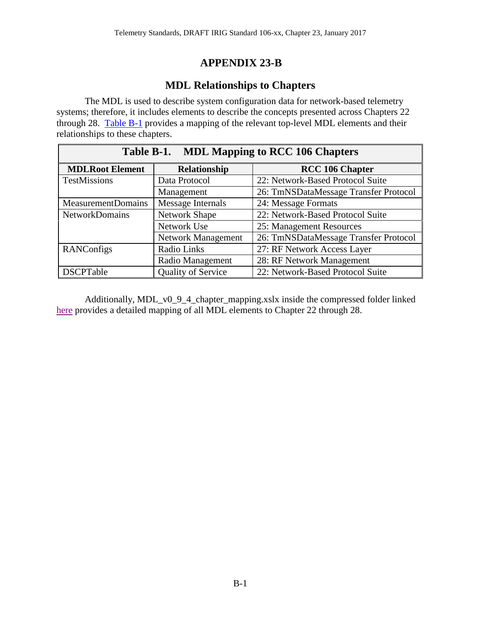## <span id="page-10-0"></span>**APPENDIX 23-B**

## **MDL Relationships to Chapters**

The MDL is used to describe system configuration data for network-based telemetry systems; therefore, it includes elements to describe the concepts presented across Chapters 22 through 28. [Table B-1](#page-10-1) provides a mapping of the relevant top-level MDL elements and their relationships to these chapters.

<span id="page-10-1"></span>

| Table B-1. MDL Mapping to RCC 106 Chapters |                           |                                       |  |
|--------------------------------------------|---------------------------|---------------------------------------|--|
| <b>MDLRoot Element</b>                     | <b>Relationship</b>       | <b>RCC 106 Chapter</b>                |  |
| TestMissions                               | Data Protocol             | 22: Network-Based Protocol Suite      |  |
|                                            | Management                | 26: TmNSDataMessage Transfer Protocol |  |
| <b>MeasurementDomains</b>                  | Message Internals         | 24: Message Formats                   |  |
| <b>NetworkDomains</b>                      | <b>Network Shape</b>      | 22: Network-Based Protocol Suite      |  |
|                                            | Network Use               | 25: Management Resources              |  |
|                                            | Network Management        | 26: TmNSDataMessage Transfer Protocol |  |
| <b>RANConfigs</b>                          | Radio Links               | 27: RF Network Access Layer           |  |
|                                            | Radio Management          | 28: RF Network Management             |  |
| <b>DSCPTable</b>                           | <b>Quality of Service</b> | 22: Network-Based Protocol Suite      |  |

Additionally, MDL\_v0\_9\_4\_chapter\_mapping.xslx inside the compressed folder linked [here](http://www.wsmr.army.mil/RCCsite/Documents/References/MDL_Relationships.zip) provides a detailed mapping of all MDL elements to Chapter 22 through 28.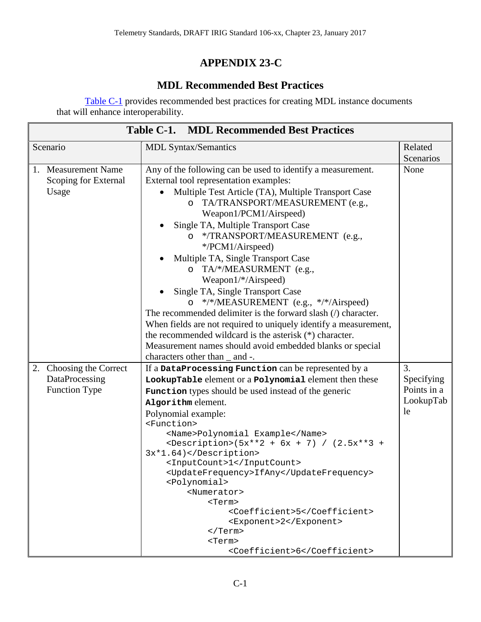# <span id="page-12-0"></span>**APPENDIX 23-C**

## **MDL Recommended Best Practices**

<span id="page-12-2"></span>[Table C-1](#page-12-1) provides recommended best practices for creating MDL instance documents that will enhance interoperability.

<span id="page-12-1"></span>

| <b>Table C-1. MDL Recommended Best Practices</b> |                                                            |                                                                                                                                                                                                                                                                                                                                                                                                                                                                                                                                                                                                                                                                                                                                                                                       |                                                    |
|--------------------------------------------------|------------------------------------------------------------|---------------------------------------------------------------------------------------------------------------------------------------------------------------------------------------------------------------------------------------------------------------------------------------------------------------------------------------------------------------------------------------------------------------------------------------------------------------------------------------------------------------------------------------------------------------------------------------------------------------------------------------------------------------------------------------------------------------------------------------------------------------------------------------|----------------------------------------------------|
| Scenario                                         |                                                            | <b>MDL Syntax/Semantics</b>                                                                                                                                                                                                                                                                                                                                                                                                                                                                                                                                                                                                                                                                                                                                                           | Related                                            |
|                                                  |                                                            |                                                                                                                                                                                                                                                                                                                                                                                                                                                                                                                                                                                                                                                                                                                                                                                       | Scenarios                                          |
|                                                  | 1. Measurement Name<br>Scoping for External<br>Usage       | Any of the following can be used to identify a measurement.<br>External tool representation examples:<br>Multiple Test Article (TA), Multiple Transport Case<br>TA/TRANSPORT/MEASUREMENT (e.g.,<br>$\circ$<br>Weapon1/PCM1/Airspeed)<br>Single TA, Multiple Transport Case<br>o */TRANSPORT/MEASUREMENT (e.g.,<br>*/PCM1/Airspeed)<br>Multiple TA, Single Transport Case<br>o TA/*/MEASURMENT (e.g.,<br>Weapon $1/*/A$ irspeed)<br>Single TA, Single Transport Case<br>*/*/MEASUREMENT (e.g., */*/Airspeed)<br>$\circ$<br>The recommended delimiter is the forward slash $($ ) character.<br>When fields are not required to uniquely identify a measurement,<br>the recommended wildcard is the asterisk (*) character.<br>Measurement names should avoid embedded blanks or special | None                                               |
|                                                  | 2. Choosing the Correct<br>DataProcessing<br>Function Type | characters other than _ and -.<br>If a DataProcessing Function can be represented by a<br>LookupTable element or a Polynomial element then these<br><b>Function</b> types should be used instead of the generic<br>Algorithm element.<br>Polynomial example:<br><function><br/><name>Polynomial Example</name><br/><description>(5x**2 + 6x + 7) / <math>(2.5x**3 +</math><br/><math>3x*1.64</math> </description><br/><inputcount>1</inputcount><br/><updatefrequency>IfAny</updatefrequency><br/><polynomial><br/><numerator><br/><math>&lt;</math>Term<math>&gt;</math><br/><coefficient>5</coefficient><br/><exponent>2</exponent><br/><math>\langle</math>Term&gt;<br/><term><br/><coefficient>6</coefficient></term></numerator></polynomial></function>                        | 3.<br>Specifying<br>Points in a<br>LookupTab<br>le |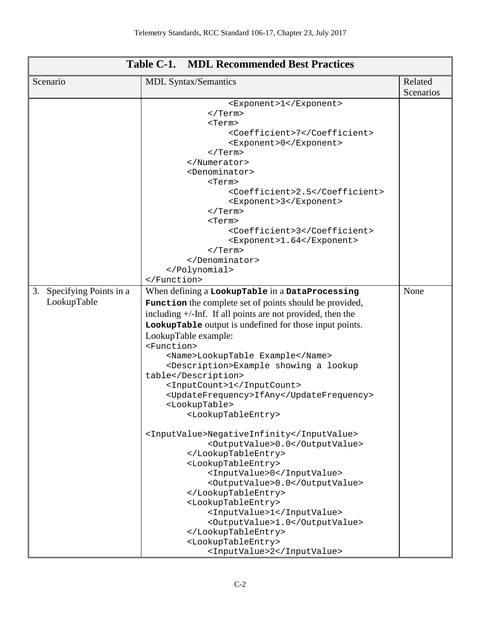<span id="page-13-0"></span>

| <b>Table C-1. MDL Recommended Best Practices</b> |                                                                                                                                                                                                                                                                                                                                                                                                                                                                                                                                                                                                                                                                                                                                                                                                                                                                                                                                                                                                                                                                                                                                                                                                                                                                                                                                      |                      |  |
|--------------------------------------------------|--------------------------------------------------------------------------------------------------------------------------------------------------------------------------------------------------------------------------------------------------------------------------------------------------------------------------------------------------------------------------------------------------------------------------------------------------------------------------------------------------------------------------------------------------------------------------------------------------------------------------------------------------------------------------------------------------------------------------------------------------------------------------------------------------------------------------------------------------------------------------------------------------------------------------------------------------------------------------------------------------------------------------------------------------------------------------------------------------------------------------------------------------------------------------------------------------------------------------------------------------------------------------------------------------------------------------------------|----------------------|--|
| Scenario                                         | <b>MDL Syntax/Semantics</b>                                                                                                                                                                                                                                                                                                                                                                                                                                                                                                                                                                                                                                                                                                                                                                                                                                                                                                                                                                                                                                                                                                                                                                                                                                                                                                          | Related<br>Scenarios |  |
| 3. Specifying Points in a<br>LookupTable         | <exponent>1</exponent><br><br><term><br/><coefficient>7</coefficient><br/><exponent>0</exponent><br/><math>\langle</math>/Term&gt;<br/><br/><denominator><br/><term><br/><coefficient>2.5</coefficient><br/><exponent>3</exponent><br/></term><br/><math>&lt;</math>Term<math>&gt;</math><br/><coefficient>3</coefficient><br/><exponent>1.64</exponent><br/><math>\langle</math>Term&gt;<br/></denominator><br/><br/><br/>When defining a LookupTable in a DataProcessing<br/><b>Function</b> the complete set of points should be provided,<br/>including <math>+/-</math>Inf. If all points are not provided, then the<br/>LookupTable output is undefined for those input points.<br/>LookupTable example:<br/><function><br/><name>LookupTable Example</name><br/><description>Example showing a lookup<br/>table</description><br/><inputcount>1</inputcount><br/><updatefrequency>IfAny</updatefrequency><br/><lookuptable><br/><lookuptableentry><br/><inputvalue>NegativeInfinity</inputvalue><br/><outputvalue>0.0</outputvalue><br/></lookuptableentry><br/><lookuptableentry><br/><inputvalue>0</inputvalue><br/><outputvalue>0.0</outputvalue><br/></lookuptableentry><br/><lookuptableentry><br/><inputvalue>1</inputvalue><br/><outputvalue>1.0</outputvalue><br/></lookuptableentry></lookuptable></function></term> | None                 |  |
|                                                  | <lookuptableentry><br/><inputvalue>2</inputvalue></lookuptableentry>                                                                                                                                                                                                                                                                                                                                                                                                                                                                                                                                                                                                                                                                                                                                                                                                                                                                                                                                                                                                                                                                                                                                                                                                                                                                 |                      |  |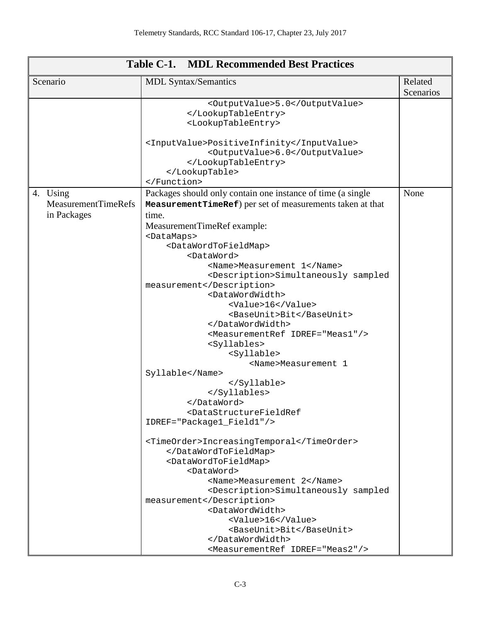| <b>Table C-1. MDL Recommended Best Practices</b> |                                                                                         |                      |
|--------------------------------------------------|-----------------------------------------------------------------------------------------|----------------------|
| Scenario                                         | <b>MDL Syntax/Semantics</b>                                                             | Related<br>Scenarios |
|                                                  | <outputvalue>5.0</outputvalue><br><br><lookuptableentry></lookuptableentry>             |                      |
|                                                  | <inputvalue>PositiveInfinity</inputvalue><br><outputvalue>6.0</outputvalue><br><br><br> |                      |
| 4. Using                                         | Packages should only contain one instance of time (a single                             | None                 |
| <b>MeasurementTimeRefs</b>                       | <b>MeasurementTimeRef</b> ) per set of measurements taken at that                       |                      |
| in Packages                                      | time.                                                                                   |                      |
|                                                  | MeasurementTimeRef example:                                                             |                      |
|                                                  | <datamaps></datamaps>                                                                   |                      |
|                                                  | <datawordtofieldmap></datawordtofieldmap>                                               |                      |
|                                                  | <dataword></dataword>                                                                   |                      |
|                                                  | <name>Measurement 1</name>                                                              |                      |
|                                                  | <description>Simultaneously sampled</description>                                       |                      |
|                                                  | measurement                                                                             |                      |
|                                                  | <datawordwidth></datawordwidth>                                                         |                      |
|                                                  | <value>16</value>                                                                       |                      |
|                                                  | <baseunit>Bit</baseunit>                                                                |                      |
|                                                  |                                                                                         |                      |
|                                                  | <measurementref idref="Meas1"></measurementref>                                         |                      |
|                                                  | <syllables></syllables>                                                                 |                      |
|                                                  | <syllable></syllable>                                                                   |                      |
|                                                  | <name>Measurement 1</name>                                                              |                      |
|                                                  | Syllable                                                                                |                      |
|                                                  |                                                                                         |                      |
|                                                  |                                                                                         |                      |
|                                                  |                                                                                         |                      |
|                                                  | <datastructurefieldref< td=""><td></td></datastructurefieldref<>                        |                      |
|                                                  | IDREF="Package1_Field1"/>                                                               |                      |
|                                                  | <timeorder>IncreasingTemporal</timeorder>                                               |                      |
|                                                  |                                                                                         |                      |
|                                                  | <datawordtofieldmap></datawordtofieldmap>                                               |                      |
|                                                  | <dataword></dataword>                                                                   |                      |
|                                                  | <name>Measurement 2</name>                                                              |                      |
|                                                  | <description>Simultaneously sampled</description>                                       |                      |
|                                                  | measurement                                                                             |                      |
|                                                  | <datawordwidth></datawordwidth>                                                         |                      |
|                                                  | <value>16</value>                                                                       |                      |
|                                                  | <baseunit>Bit</baseunit>                                                                |                      |
|                                                  |                                                                                         |                      |
|                                                  | <measurementref idref="Meas2"></measurementref>                                         |                      |